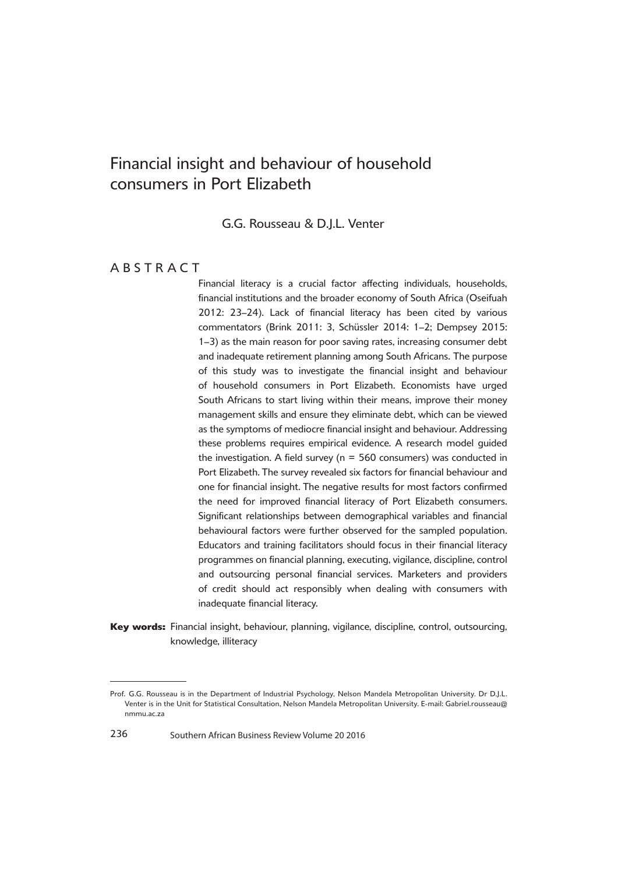G.G. Rousseau & D.J.L. Venter

# **ABSTRACT**

Financial literacy is a crucial factor affecting individuals, households, financial institutions and the broader economy of South Africa (Oseifuah 2012: 23-24). Lack of financial literacy has been cited by various commentators (Brink 2011: 3, Schüssler 2014: 1–2; Dempsey 2015: 1–3) as the main reason for poor saving rates, increasing consumer debt and inadequate retirement planning among South Africans. The purpose of this study was to investigate the financial insight and behaviour of household consumers in Port Elizabeth. Economists have urged South Africans to start living within their means, improve their money management skills and ensure they eliminate debt, which can be viewed as the symptoms of mediocre financial insight and behaviour. Addressing these problems requires empirical evidence. A research model guided the investigation. A field survey ( $n = 560$  consumers) was conducted in Port Elizabeth. The survey revealed six factors for financial behaviour and one for financial insight. The negative results for most factors confirmed the need for improved financial literacy of Port Elizabeth consumers. Significant relationships between demographical variables and financial behavioural factors were further observed for the sampled population. Educators and training facilitators should focus in their financial literacy programmes on financial planning, executing, vigilance, discipline, control and outsourcing personal financial services. Marketers and providers of credit should act responsibly when dealing with consumers with inadequate financial literacy.

<sup>4</sup>**Key words:** Financial insight, behaviour, planning, vigilance, discipline, control, outsourcing, knowledge, illiteracy

Prof. G.G. Rousseau is in the Department of Industrial Psychology, Nelson Mandela Metropolitan University. Dr D.J.L. Venter is in the Unit for Statistical Consultation, Nelson Mandela Metropolitan University. E-mail: Gabriel.rousseau@ nmmu.ac.za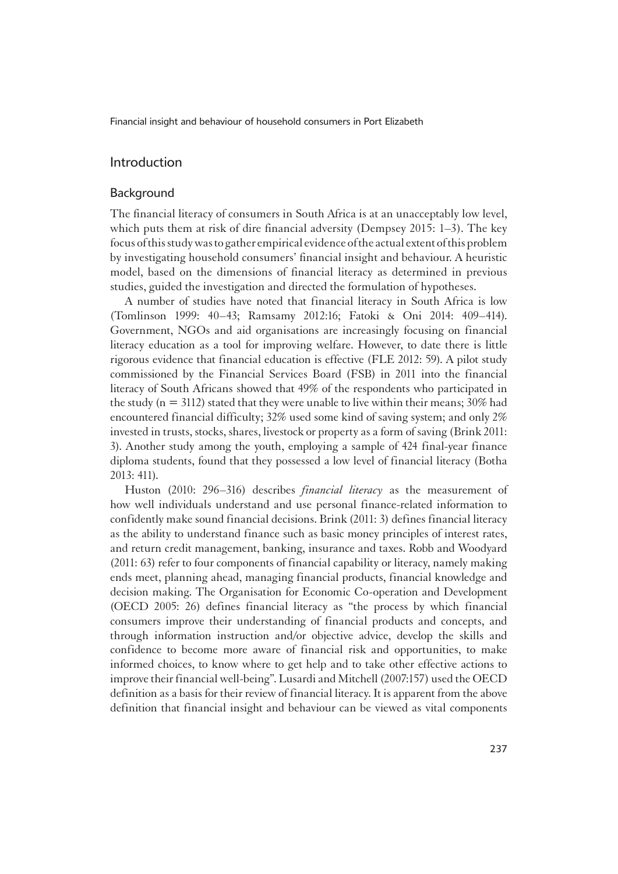### Introduction

### Background

The financial literacy of consumers in South Africa is at an unacceptably low level, which puts them at risk of dire financial adversity (Dempsey 2015: 1–3). The key focus of this study was to gather empirical evidence of the actual extent of this problem by investigating household consumers' financial insight and behaviour. A heuristic model, based on the dimensions of financial literacy as determined in previous studies, guided the investigation and directed the formulation of hypotheses.

A number of studies have noted that financial literacy in South Africa is low (Tomlinson 1999: 40–43; Ramsamy 2012:16; Fatoki & Oni 2014: 409–414). Government, NGOs and aid organisations are increasingly focusing on financial literacy education as a tool for improving welfare. However, to date there is little rigorous evidence that financial education is effective (FLE 2012: 59). A pilot study commissioned by the Financial Services Board (FSB) in 2011 into the financial literacy of South Africans showed that 49% of the respondents who participated in the study ( $n = 3112$ ) stated that they were unable to live within their means; 30% had encountered financial difficulty; 32% used some kind of saving system; and only 2% invested in trusts, stocks, shares, livestock or property as a form of saving (Brink 2011: 3). Another study among the youth, employing a sample of 424 final-year finance diploma students, found that they possessed a low level of financial literacy (Botha 2013: 411).

Huston (2010: 296–316) describes *financial literacy* as the measurement of how well individuals understand and use personal finance-related information to confidently make sound financial decisions. Brink (2011: 3) defines financial literacy as the ability to understand finance such as basic money principles of interest rates, and return credit management, banking, insurance and taxes. Robb and Woodyard (2011: 63) refer to four components of financial capability or literacy, namely making ends meet, planning ahead, managing financial products, financial knowledge and decision making. The Organisation for Economic Co-operation and Development (OECD 2005: 26) defines financial literacy as "the process by which financial consumers improve their understanding of financial products and concepts, and through information instruction and/or objective advice, develop the skills and confidence to become more aware of financial risk and opportunities, to make informed choices, to know where to get help and to take other effective actions to improve their financial well-being". Lusardi and Mitchell (2007:157) used the OECD definition as a basis for their review of financial literacy. It is apparent from the above definition that financial insight and behaviour can be viewed as vital components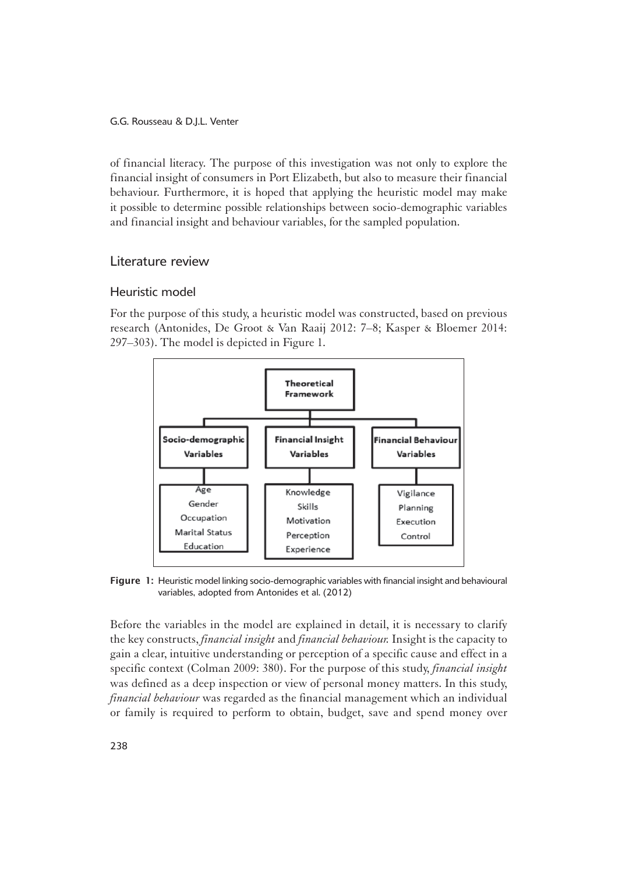of financial literacy. The purpose of this investigation was not only to explore the financial insight of consumers in Port Elizabeth, but also to measure their financial behaviour. Furthermore, it is hoped that applying the heuristic model may make it possible to determine possible relationships between socio-demographic variables and financial insight and behaviour variables, for the sampled population.

## Literature review

## Heuristic model

1For the purpose of this study, a heuristic model was constructed, based on previous research (Antonides, De Groot & Van Raaij 2012: 7–8; Kasper & Bloemer 2014: 297–303). The model is depicted in Figure 1.



Figure 1: Heuristic model linking socio-demographic variables with financial insight and behavioural variables, adopted from Antonides et al. (2012)

Before the variables in the model are explained in detail, it is necessary to clarify the key constructs, *financial insight* and *financial behaviour.* Insight is the capacity to gain a clear, intuitive understanding or perception of a specific cause and effect in a specific context (Colman 2009: 380). For the purpose of this study, *financial insight* was defined as a deep inspection or view of personal money matters. In this study, *financial behaviour* was regarded as the financial management which an individual or family is required to perform to obtain, budget, save and spend money over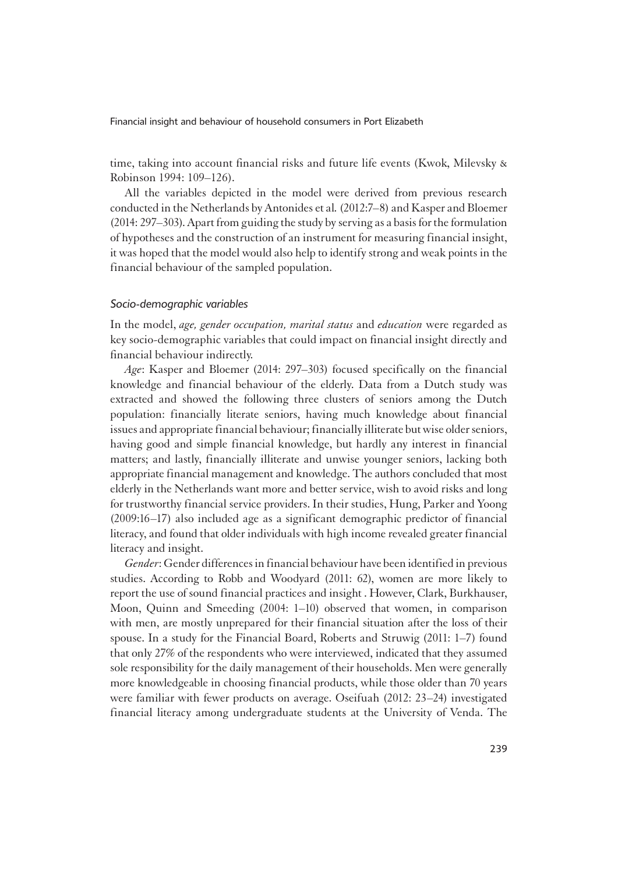time, taking into account financial risks and future life events (Kwok, Milevsky & Robinson 1994: 109–126).

All the variables depicted in the model were derived from previous research conducted in the Netherlands by Antonides et al*.* (2012:7–8) and Kasper and Bloemer (2014: 297–303). Apart from guiding the study by serving as a basis for the formulation of hypotheses and the construction of an instrument for measuring financial insight, it was hoped that the model would also help to identify strong and weak points in the financial behaviour of the sampled population.

#### *Socio-demographic variables*

1In the model, *age, gender occupation, marital status* and *education* were regarded as key socio-demographic variables that could impact on financial insight directly and financial behaviour indirectly.

*Age*: Kasper and Bloemer (2014: 297–303) focused specifically on the financial knowledge and financial behaviour of the elderly. Data from a Dutch study was extracted and showed the following three clusters of seniors among the Dutch population: financially literate seniors, having much knowledge about financial issues and appropriate financial behaviour; financially illiterate but wise older seniors, having good and simple financial knowledge, but hardly any interest in financial matters; and lastly, financially illiterate and unwise younger seniors, lacking both appropriate financial management and knowledge. The authors concluded that most elderly in the Netherlands want more and better service, wish to avoid risks and long for trustworthy financial service providers. In their studies, Hung, Parker and Yoong (2009:16–17) also included age as a significant demographic predictor of financial literacy, and found that older individuals with high income revealed greater financial literacy and insight.

*Gender*: Gender differences in financial behaviour have been identified in previous studies. According to Robb and Woodyard (2011: 62), women are more likely to report the use of sound financial practices and insight . However, Clark, Burkhauser, Moon, Quinn and Smeeding (2004: 1–10) observed that women, in comparison with men, are mostly unprepared for their financial situation after the loss of their spouse. In a study for the Financial Board, Roberts and Struwig (2011: 1–7) found that only 27% of the respondents who were interviewed, indicated that they assumed sole responsibility for the daily management of their households. Men were generally more knowledgeable in choosing financial products, while those older than 70 years were familiar with fewer products on average. Oseifuah (2012: 23–24) investigated financial literacy among undergraduate students at the University of Venda. The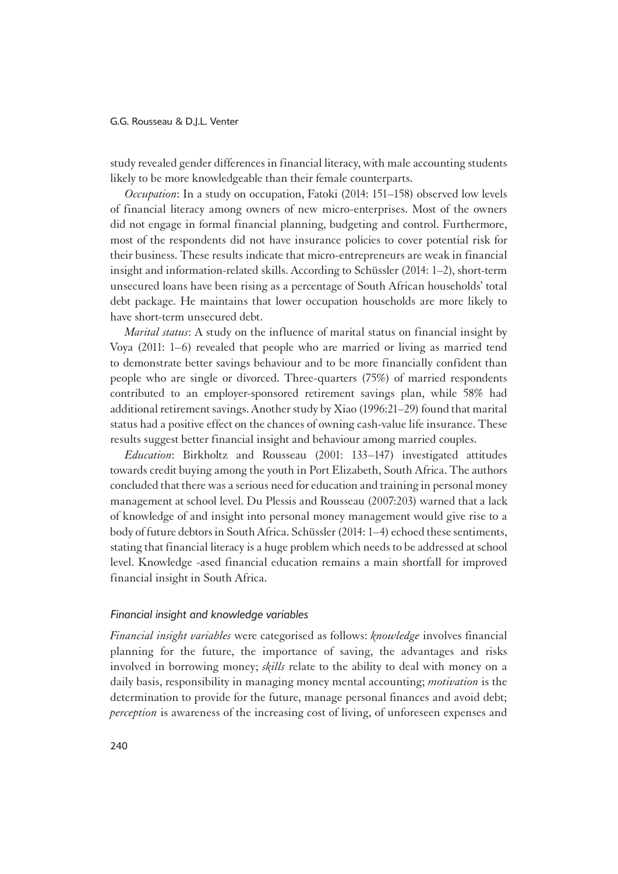study revealed gender differences in financial literacy, with male accounting students likely to be more knowledgeable than their female counterparts.

*Occupation*: In a study on occupation, Fatoki (2014: 151–158) observed low levels of financial literacy among owners of new micro-enterprises. Most of the owners did not engage in formal financial planning, budgeting and control. Furthermore, most of the respondents did not have insurance policies to cover potential risk for their business. These results indicate that micro-entrepreneurs are weak in financial insight and information-related skills. According to Schüssler (2014: 1–2), short-term unsecured loans have been rising as a percentage of South African households' total debt package. He maintains that lower occupation households are more likely to have short-term unsecured debt.

*Marital status*: A study on the influence of marital status on financial insight by Voya (2011: 1–6) revealed that people who are married or living as married tend to demonstrate better savings behaviour and to be more financially confident than people who are single or divorced. Three-quarters (75%) of married respondents contributed to an employer-sponsored retirement savings plan, while 58% had additional retirement savings. Another study by Xiao (1996:21–29) found that marital status had a positive effect on the chances of owning cash-value life insurance. These results suggest better financial insight and behaviour among married couples.

*Education*: Birkholtz and Rousseau (2001: 133–147) investigated attitudes towards credit buying among the youth in Port Elizabeth, South Africa. The authors concluded that there was a serious need for education and training in personal money management at school level. Du Plessis and Rousseau (2007:203) warned that a lack of knowledge of and insight into personal money management would give rise to a body of future debtors in South Africa. Schüssler (2014: 1–4) echoed these sentiments, stating that financial literacy is a huge problem which needs to be addressed at school level. Knowledge -ased financial education remains a main shortfall for improved financial insight in South Africa.

#### *Financial insight and knowledge variables*

<sup>1</sup>*Financial insight variables* were categorised as follows: *knowledge* involves financial planning for the future, the importance of saving, the advantages and risks involved in borrowing money; *skills* relate to the ability to deal with money on a daily basis, responsibility in managing money mental accounting; *motivation* is the determination to provide for the future, manage personal finances and avoid debt; *perception* is awareness of the increasing cost of living, of unforeseen expenses and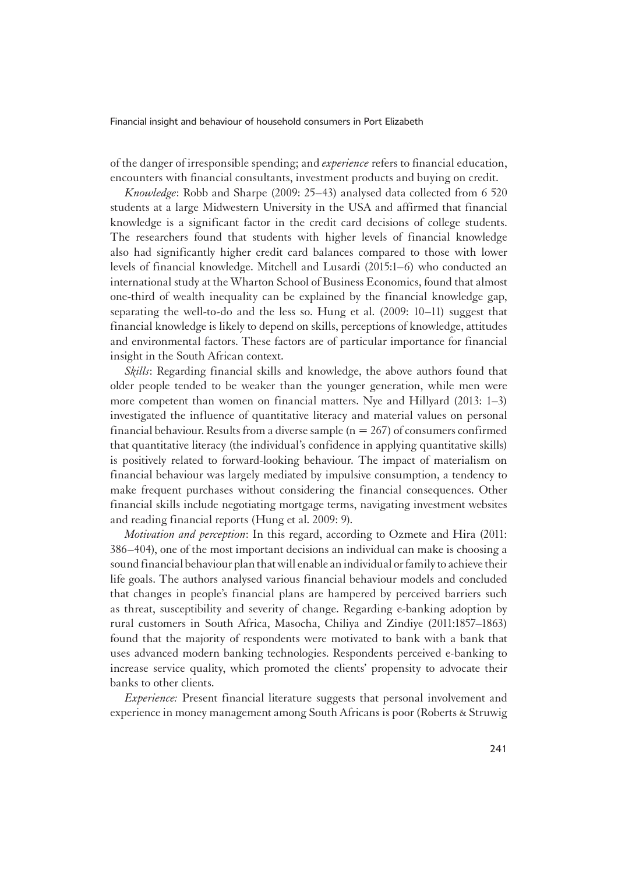of the danger of irresponsible spending; and *experience* refers to financial education, encounters with financial consultants, investment products and buying on credit.

*Knowledge*: Robb and Sharpe (2009: 25–43) analysed data collected from 6 520 students at a large Midwestern University in the USA and affirmed that financial knowledge is a significant factor in the credit card decisions of college students. The researchers found that students with higher levels of financial knowledge also had significantly higher credit card balances compared to those with lower levels of financial knowledge. Mitchell and Lusardi (2015:1–6) who conducted an international study at the Wharton School of Business Economics, found that almost one-third of wealth inequality can be explained by the financial knowledge gap, separating the well-to-do and the less so. Hung et al. (2009: 10–11) suggest that financial knowledge is likely to depend on skills, perceptions of knowledge, attitudes and environmental factors. These factors are of particular importance for financial insight in the South African context.

*Skills*: Regarding financial skills and knowledge, the above authors found that older people tended to be weaker than the younger generation, while men were more competent than women on financial matters. Nye and Hillyard (2013: 1–3) investigated the influence of quantitative literacy and material values on personal financial behaviour. Results from a diverse sample  $(n = 267)$  of consumers confirmed that quantitative literacy (the individual's confidence in applying quantitative skills) is positively related to forward-looking behaviour. The impact of materialism on financial behaviour was largely mediated by impulsive consumption, a tendency to make frequent purchases without considering the financial consequences. Other financial skills include negotiating mortgage terms, navigating investment websites and reading financial reports (Hung et al. 2009: 9).

*Motivation and perception*: In this regard, according to Ozmete and Hira (2011: 386–404), one of the most important decisions an individual can make is choosing a sound financial behaviour plan that will enable an individual or family to achieve their life goals. The authors analysed various financial behaviour models and concluded that changes in people's financial plans are hampered by perceived barriers such as threat, susceptibility and severity of change. Regarding e-banking adoption by rural customers in South Africa, Masocha, Chiliya and Zindiye (2011:1857–1863) found that the majority of respondents were motivated to bank with a bank that uses advanced modern banking technologies. Respondents perceived e-banking to increase service quality, which promoted the clients' propensity to advocate their banks to other clients.

*Experience:* Present financial literature suggests that personal involvement and experience in money management among South Africans is poor (Roberts & Struwig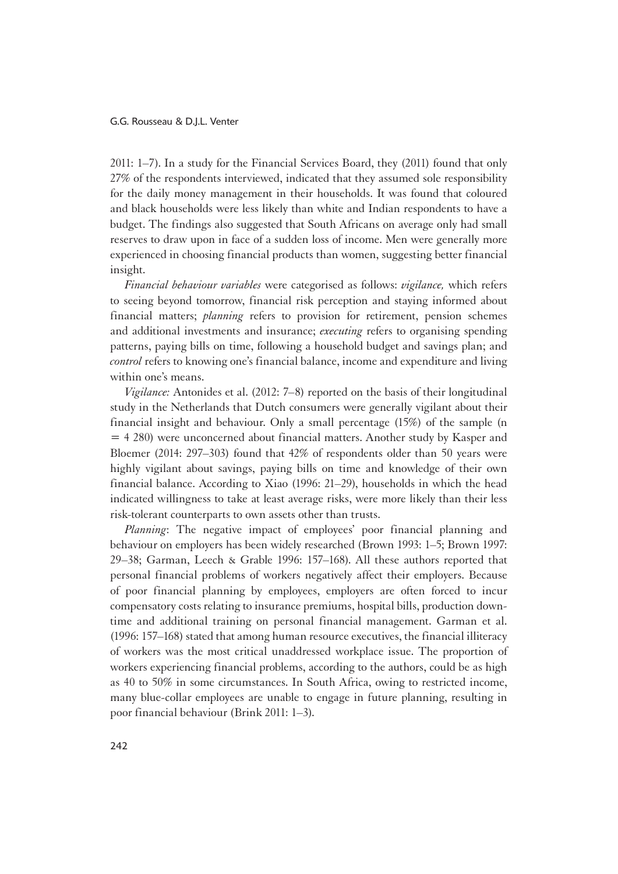2011: 1–7). In a study for the Financial Services Board, they (2011) found that only 27% of the respondents interviewed, indicated that they assumed sole responsibility for the daily money management in their households. It was found that coloured and black households were less likely than white and Indian respondents to have a budget. The findings also suggested that South Africans on average only had small reserves to draw upon in face of a sudden loss of income. Men were generally more experienced in choosing financial products than women, suggesting better financial insight.

*Financial behaviour variables* were categorised as follows: *vigilance,* which refers to seeing beyond tomorrow, financial risk perception and staying informed about financial matters; *planning* refers to provision for retirement, pension schemes and additional investments and insurance; *executing* refers to organising spending patterns, paying bills on time, following a household budget and savings plan; and *control* refers to knowing one's financial balance, income and expenditure and living within one's means.

*Vigilance:* Antonides et al. (2012: 7–8) reported on the basis of their longitudinal study in the Netherlands that Dutch consumers were generally vigilant about their financial insight and behaviour. Only a small percentage (15%) of the sample (n = 4 280) were unconcerned about financial matters. Another study by Kasper and Bloemer (2014: 297–303) found that 42% of respondents older than 50 years were highly vigilant about savings, paying bills on time and knowledge of their own financial balance. According to Xiao (1996: 21–29), households in which the head indicated willingness to take at least average risks, were more likely than their less risk-tolerant counterparts to own assets other than trusts.

*Planning*: The negative impact of employees' poor financial planning and behaviour on employers has been widely researched (Brown 1993: 1–5; Brown 1997: 29–38; Garman, Leech & Grable 1996: 157–168). All these authors reported that personal financial problems of workers negatively affect their employers. Because of poor financial planning by employees, employers are often forced to incur compensatory costs relating to insurance premiums, hospital bills, production downtime and additional training on personal financial management. Garman et al. (1996: 157–168) stated that among human resource executives, the financial illiteracy of workers was the most critical unaddressed workplace issue. The proportion of workers experiencing financial problems, according to the authors, could be as high as 40 to 50% in some circumstances. In South Africa, owing to restricted income, many blue-collar employees are unable to engage in future planning, resulting in poor financial behaviour (Brink 2011: 1–3).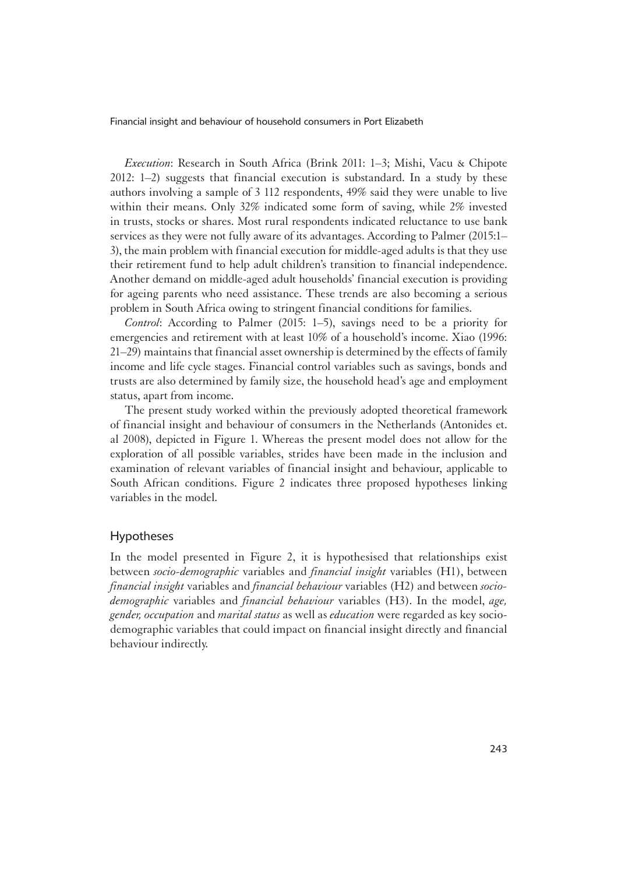*Execution*: Research in South Africa (Brink 2011: 1–3; Mishi, Vacu & Chipote 2012: 1–2) suggests that financial execution is substandard. In a study by these authors involving a sample of 3 112 respondents, 49% said they were unable to live within their means. Only 32% indicated some form of saving, while 2% invested in trusts, stocks or shares. Most rural respondents indicated reluctance to use bank services as they were not fully aware of its advantages. According to Palmer (2015:1– 3), the main problem with financial execution for middle-aged adults is that they use their retirement fund to help adult children's transition to financial independence. Another demand on middle-aged adult households' financial execution is providing for ageing parents who need assistance. These trends are also becoming a serious problem in South Africa owing to stringent financial conditions for families.

*Control*: According to Palmer (2015: 1–5), savings need to be a priority for emergencies and retirement with at least 10% of a household's income. Xiao (1996: 21–29) maintains that financial asset ownership is determined by the effects of family income and life cycle stages. Financial control variables such as savings, bonds and trusts are also determined by family size, the household head's age and employment status, apart from income.

The present study worked within the previously adopted theoretical framework of financial insight and behaviour of consumers in the Netherlands (Antonides et. al 2008), depicted in Figure 1. Whereas the present model does not allow for the exploration of all possible variables, strides have been made in the inclusion and examination of relevant variables of financial insight and behaviour, applicable to South African conditions. Figure 2 indicates three proposed hypotheses linking variables in the model.

### Hypotheses

In the model presented in Figure 2, it is hypothesised that relationships exist between *socio-demographic* variables and *financial insight* variables (H1), between *financial insight* variables and *financial behaviour* variables (H2) and between *sociodemographic* variables and *financial behaviour* variables (H3). In the model, *age, gender, occupation* and *marital status* as well as *education* were regarded as key sociodemographic variables that could impact on financial insight directly and financial behaviour indirectly.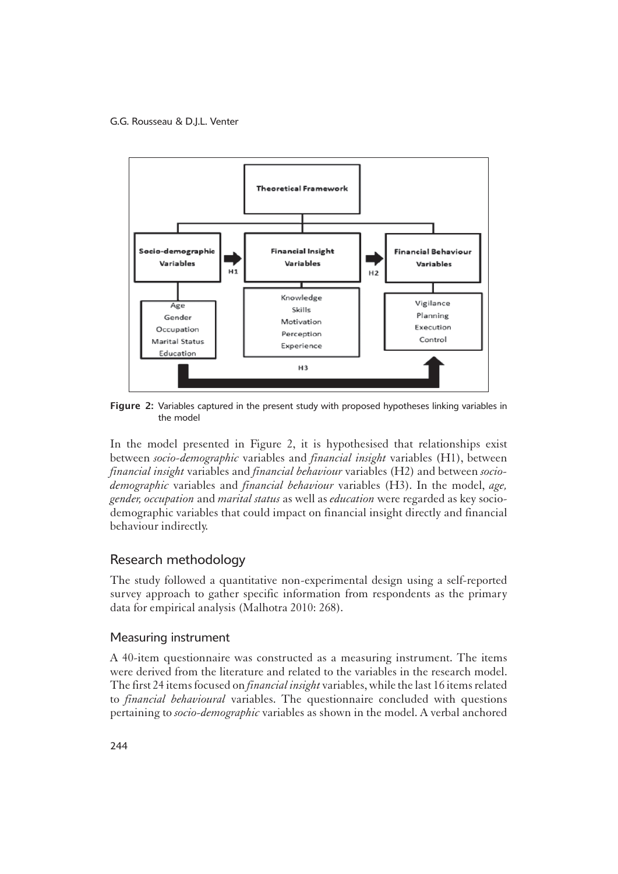

Figure 2: Variables captured in the present study with proposed hypotheses linking variables in the model

In the model presented in Figure 2, it is hypothesised that relationships exist between *socio-demographic* variables and *financial insight* variables (H1), between *financial insight* variables and *financial behaviour* variables (H2) and between *sociodemographic* variables and *financial behaviour* variables (H3). In the model, *age, gender, occupation* and *marital status* as well as *education* were regarded as key sociodemographic variables that could impact on financial insight directly and financial behaviour indirectly.

# Research methodology

1The study followed a quantitative non-experimental design using a self-reported survey approach to gather specific information from respondents as the primary data for empirical analysis (Malhotra 2010: 268).

### Measuring instrument

1A 40-item questionnaire was constructed as a measuring instrument. The items were derived from the literature and related to the variables in the research model. The first 24 items focused on *financial insight* variables, while the last 16 items related to *financial behavioural* variables. The questionnaire concluded with questions pertaining to *socio-demographic* variables as shown in the model. A verbal anchored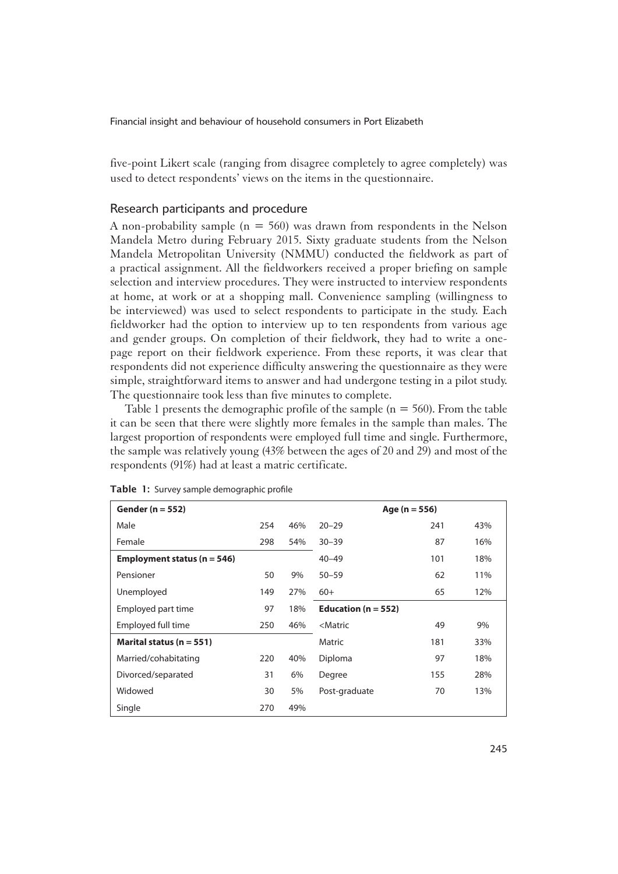five-point Likert scale (ranging from disagree completely to agree completely) was used to detect respondents' views on the items in the questionnaire.

### Research participants and procedure

A non-probability sample ( $n = 560$ ) was drawn from respondents in the Nelson Mandela Metro during February 2015. Sixty graduate students from the Nelson Mandela Metropolitan University (NMMU) conducted the fieldwork as part of a practical assignment. All the fieldworkers received a proper briefing on sample selection and interview procedures. They were instructed to interview respondents at home, at work or at a shopping mall. Convenience sampling (willingness to be interviewed) was used to select respondents to participate in the study. Each fieldworker had the option to interview up to ten respondents from various age and gender groups. On completion of their fieldwork, they had to write a onepage report on their fieldwork experience. From these reports, it was clear that respondents did not experience difficulty answering the questionnaire as they were simple, straightforward items to answer and had undergone testing in a pilot study. The questionnaire took less than five minutes to complete.

Table 1 presents the demographic profile of the sample  $(n = 560)$ . From the table it can be seen that there were slightly more females in the sample than males. The largest proportion of respondents were employed full time and single. Furthermore, the sample was relatively young (43% between the ages of 20 and 29) and most of the respondents (91%) had at least a matric certificate.

| Gender ( $n = 552$ )            |     | Age ( $n = 556$ ) |                                  |     |     |  |
|---------------------------------|-----|-------------------|----------------------------------|-----|-----|--|
| Male                            | 254 | 46%               | $20 - 29$                        | 241 | 43% |  |
| Female                          | 298 | 54%               | $30 - 39$                        | 87  | 16% |  |
| Employment status ( $n = 546$ ) |     |                   | $40 - 49$                        | 101 | 18% |  |
| Pensioner                       | 50  | 9%                | $50 - 59$                        | 62  | 11% |  |
| Unemployed                      | 149 | 27%               | $60+$                            | 65  | 12% |  |
| Employed part time              | 97  | 18%               | Education ( $n = 552$ )          |     |     |  |
| Employed full time              | 250 | 46%               | <matric<br>9%<br/>49</matric<br> |     |     |  |
| Marital status ( $n = 551$ )    |     |                   | Matric                           | 181 | 33% |  |
| Married/cohabitating            | 220 | 40%               | Diploma                          | 97  | 18% |  |
| Divorced/separated              | 31  | 6%                | Degree                           | 155 | 28% |  |
| Widowed                         | 30  | 5%                | Post-graduate                    | 70  | 13% |  |
| Single                          | 270 | 49%               |                                  |     |     |  |

Table 1: Survey sample demographic profile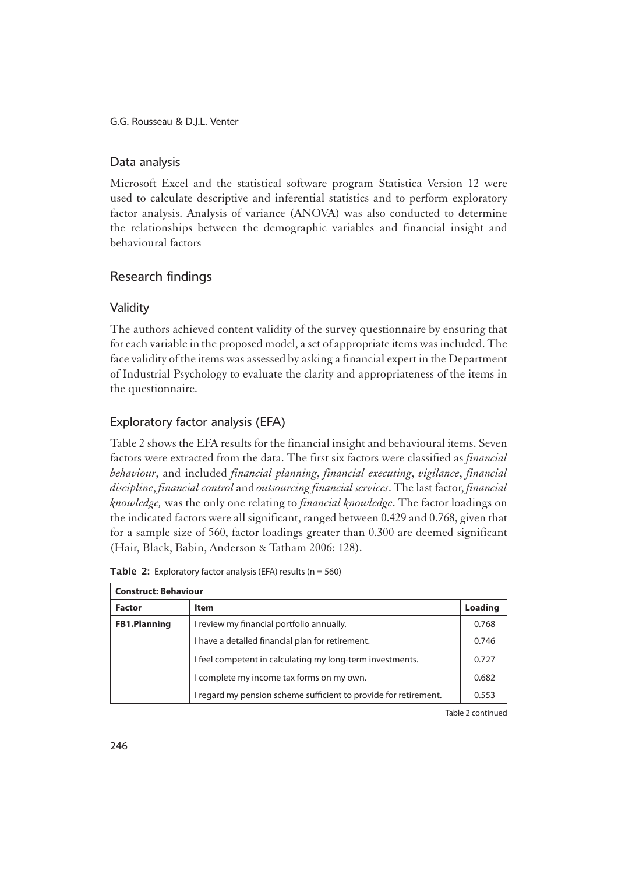### Data analysis

1Microsoft Excel and the statistical software program Statistica Version 12 were used to calculate descriptive and inferential statistics and to perform exploratory factor analysis. Analysis of variance (ANOVA) was also conducted to determine the relationships between the demographic variables and financial insight and behavioural factors

# Research findings

# **Validity**

1The authors achieved content validity of the survey questionnaire by ensuring that for each variable in the proposed model, a set of appropriate items was included. The face validity of the items was assessed by asking a financial expert in the Department of Industrial Psychology to evaluate the clarity and appropriateness of the items in the questionnaire.

# Exploratory factor analysis (EFA)

1Table 2 shows the EFA results for the financial insight and behavioural items. Seven factors were extracted from the data. The first six factors were classified as *financial behaviour*, and included *financial planning*, *financial executing*, *vigilance*, *financial discipline*, *financial control* and *outsourcing financial services*. The last factor, *financial knowledge,* was the only one relating to *financial knowledge*. The factor loadings on the indicated factors were all significant, ranged between 0.429 and 0.768, given that for a sample size of 560, factor loadings greater than 0.300 are deemed significant (Hair, Black, Babin, Anderson & Tatham 2006: 128).

| <b>Construct: Behaviour</b> |                                                                  |         |  |  |  |  |  |
|-----------------------------|------------------------------------------------------------------|---------|--|--|--|--|--|
| <b>Factor</b>               | <b>Item</b>                                                      | Loading |  |  |  |  |  |
| <b>FB1.Planning</b>         | I review my financial portfolio annually.                        | 0.768   |  |  |  |  |  |
|                             | I have a detailed financial plan for retirement.                 | 0.746   |  |  |  |  |  |
|                             | I feel competent in calculating my long-term investments.        | 0.727   |  |  |  |  |  |
|                             | I complete my income tax forms on my own.                        | 0.682   |  |  |  |  |  |
|                             | I regard my pension scheme sufficient to provide for retirement. | 0.553   |  |  |  |  |  |

**Table 2:** Exploratory factor analysis (EFA) results ( $n = 560$ )

Table 2 continued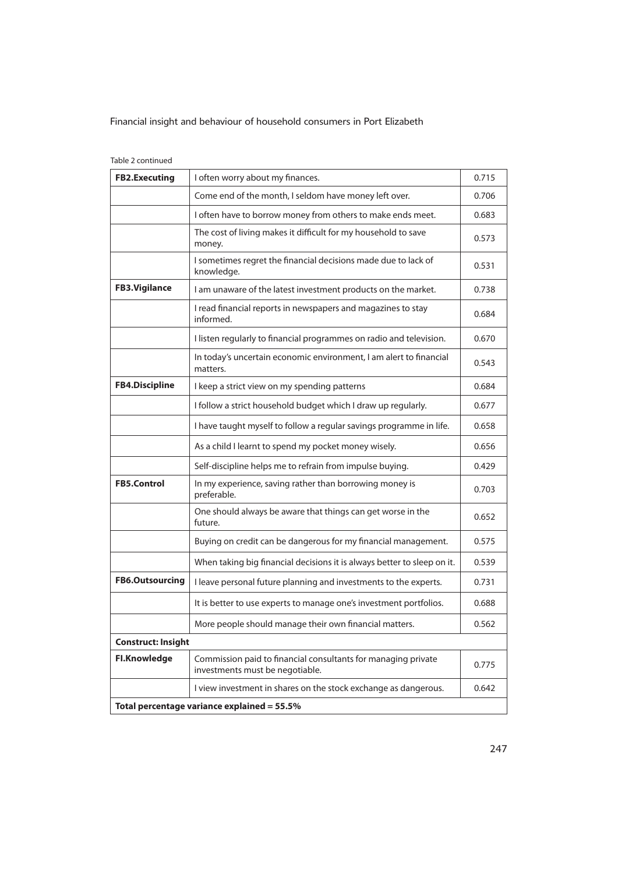#### Table 2 continued

| <b>FB2.Executing</b>      | I often worry about my finances.                                                                 | 0.715 |  |  |  |  |
|---------------------------|--------------------------------------------------------------------------------------------------|-------|--|--|--|--|
|                           | Come end of the month, I seldom have money left over.                                            | 0.706 |  |  |  |  |
|                           | I often have to borrow money from others to make ends meet.                                      |       |  |  |  |  |
|                           | The cost of living makes it difficult for my household to save<br>money.                         | 0.573 |  |  |  |  |
|                           | I sometimes regret the financial decisions made due to lack of<br>knowledge.                     | 0.531 |  |  |  |  |
| <b>FB3.Vigilance</b>      | I am unaware of the latest investment products on the market.                                    | 0.738 |  |  |  |  |
|                           | I read financial reports in newspapers and magazines to stay<br>informed.                        | 0.684 |  |  |  |  |
|                           | I listen regularly to financial programmes on radio and television.                              | 0.670 |  |  |  |  |
|                           | In today's uncertain economic environment, I am alert to financial<br>matters.                   | 0.543 |  |  |  |  |
| <b>FB4.Discipline</b>     | I keep a strict view on my spending patterns                                                     | 0.684 |  |  |  |  |
|                           | I follow a strict household budget which I draw up regularly.                                    | 0.677 |  |  |  |  |
|                           | I have taught myself to follow a regular savings programme in life.                              | 0.658 |  |  |  |  |
|                           | As a child I learnt to spend my pocket money wisely.                                             | 0.656 |  |  |  |  |
|                           | Self-discipline helps me to refrain from impulse buying.                                         | 0.429 |  |  |  |  |
| <b>FB5.Control</b>        | In my experience, saving rather than borrowing money is<br>preferable.                           | 0.703 |  |  |  |  |
|                           | One should always be aware that things can get worse in the<br>future.                           | 0.652 |  |  |  |  |
|                           | Buying on credit can be dangerous for my financial management.                                   | 0.575 |  |  |  |  |
|                           | When taking big financial decisions it is always better to sleep on it.                          | 0.539 |  |  |  |  |
| <b>FB6.Outsourcing</b>    | I leave personal future planning and investments to the experts.                                 | 0.731 |  |  |  |  |
|                           | It is better to use experts to manage one's investment portfolios.                               | 0.688 |  |  |  |  |
|                           | More people should manage their own financial matters.                                           | 0.562 |  |  |  |  |
| <b>Construct: Insight</b> |                                                                                                  |       |  |  |  |  |
| <b>Fl.Knowledge</b>       | Commission paid to financial consultants for managing private<br>investments must be negotiable. | 0.775 |  |  |  |  |
|                           | I view investment in shares on the stock exchange as dangerous.                                  | 0.642 |  |  |  |  |
|                           | Total percentage variance explained = 55.5%                                                      |       |  |  |  |  |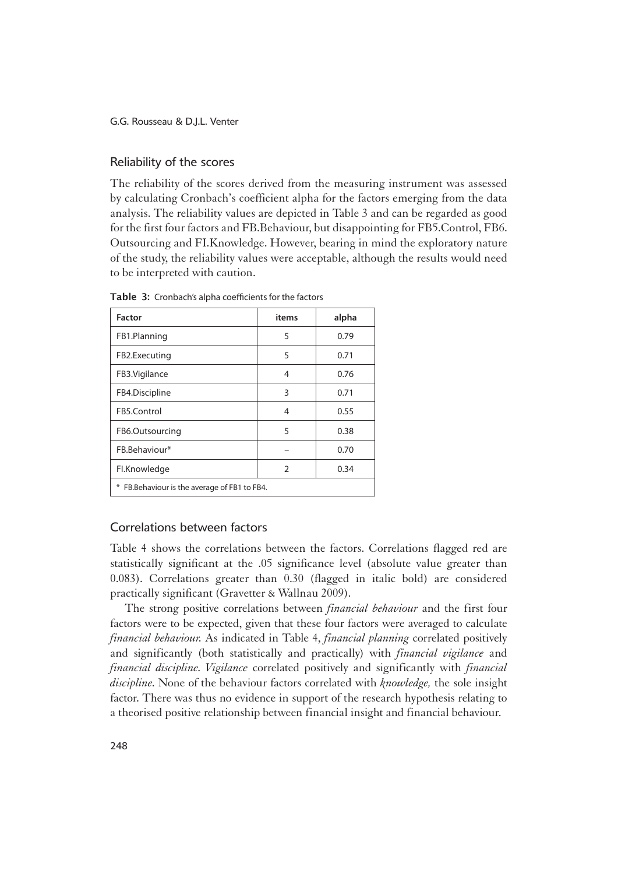#### Reliability of the scores

The reliability of the scores derived from the measuring instrument was assessed by calculating Cronbach's coefficient alpha for the factors emerging from the data analysis. The reliability values are depicted in Table 3 and can be regarded as good for the first four factors and FB.Behaviour, but disappointing for FB5.Control, FB6. Outsourcing and FI.Knowledge. However, bearing in mind the exploratory nature of the study, the reliability values were acceptable, although the results would need to be interpreted with caution.

| <b>Factor</b>                                    | items | alpha |
|--------------------------------------------------|-------|-------|
| FB1.Planning                                     | 5     | 0.79  |
| FB2.Executing                                    | 5     | 0.71  |
| FB3.Vigilance                                    | 4     | 0.76  |
| FB4.Discipline                                   | 3     | 0.71  |
| FB5.Control                                      | 4     | 0.55  |
| FB6.Outsourcing                                  | 5     | 0.38  |
| FB.Behaviour*                                    |       | 0.70  |
| Fl.Knowledge                                     | 2     | 0.34  |
| ⋇<br>FB. Behaviour is the average of FB1 to FB4. |       |       |

Table 3: Cronbach's alpha coefficients for the factors

# Correlations between factors

1Table 4 shows the correlations between the factors. Correlations flagged red are statistically significant at the .05 significance level (absolute value greater than 0.083). Correlations greater than 0.30 (flagged in italic bold) are considered practically significant (Gravetter & Wallnau 2009).

The strong positive correlations between *financial behaviour* and the first four factors were to be expected, given that these four factors were averaged to calculate *financial behaviour.* As indicated in Table 4, *financial planning* correlated positively and significantly (both statistically and practically) with *financial vigilance* and *financial discipline*. *Vigilance* correlated positively and significantly with *financial discipline*. None of the behaviour factors correlated with *knowledge,* the sole insight factor. There was thus no evidence in support of the research hypothesis relating to a theorised positive relationship between financial insight and financial behaviour.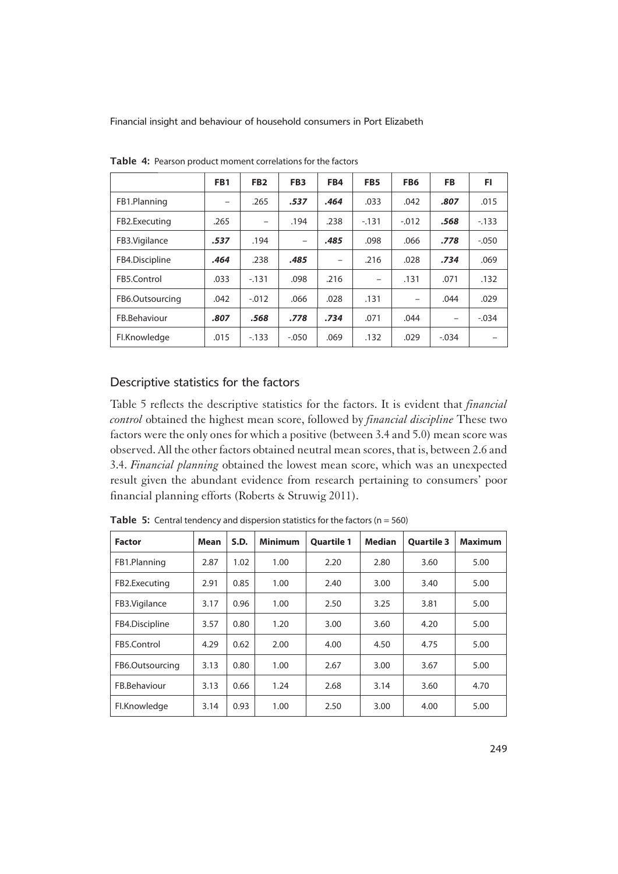|                 | FB <sub>1</sub> | FB <sub>2</sub> | FB <sub>3</sub> | FB4  | FB <sub>5</sub>          | FB6     | <b>FB</b> | FI.     |
|-----------------|-----------------|-----------------|-----------------|------|--------------------------|---------|-----------|---------|
| FB1.Planning    |                 | .265            | .537            | .464 | .033                     | .042    | .807      | .015    |
| FB2.Executing   | .265            | -               | .194            | .238 | $-131$                   | $-.012$ | .568      | $-133$  |
| FB3. Vigilance  | .537            | .194            | -               | .485 | .098                     | .066    | .778      | $-.050$ |
| FB4.Discipline  | .464            | .238            | .485            | -    | .216                     | .028    | .734      | .069    |
| FB5.Control     | .033            | $-131$          | .098            | .216 | $\overline{\phantom{0}}$ | .131    | .071      | .132    |
| FB6.Outsourcing | .042            | $-.012$         | .066            | .028 | .131                     | -       | .044      | .029    |
| FB.Behaviour    | .807            | .568            | .778            | .734 | .071                     | .044    | -         | $-.034$ |
| Fl.Knowledge    | .015            | $-133$          | $-.050$         | .069 | .132                     | .029    | $-.034$   |         |

Table 4: Pearson product moment correlations for the factors

## Descriptive statistics for the factors

1Table 5 reflects the descriptive statistics for the factors. It is evident that *financial control* obtained the highest mean score, followed by *financial discipline* These two factors were the only ones for which a positive (between 3.4 and 5.0) mean score was observed. All the other factors obtained neutral mean scores, that is, between 2.6 and 3.4. *Financial planning* obtained the lowest mean score, which was an unexpected result given the abundant evidence from research pertaining to consumers' poor financial planning efforts (Roberts & Struwig 2011).

| <b>Factor</b>   | Mean | S.D. | <b>Minimum</b> | <b>Quartile 1</b> | <b>Median</b> | <b>Quartile 3</b> | <b>Maximum</b> |
|-----------------|------|------|----------------|-------------------|---------------|-------------------|----------------|
| FB1.Planning    | 2.87 | 1.02 | 1.00           | 2.20              | 2.80          | 3.60              | 5.00           |
| FB2.Executing   | 2.91 | 0.85 | 1.00           | 2.40              | 3.00          | 3.40              | 5.00           |
| FB3.Vigilance   | 3.17 | 0.96 | 1.00           | 2.50              | 3.25          | 3.81              | 5.00           |
| FB4.Discipline  | 3.57 | 0.80 | 1.20           | 3.00              | 3.60          | 4.20              | 5.00           |
| FB5.Control     | 4.29 | 0.62 | 2.00           | 4.00              | 4.50          | 4.75              | 5.00           |
| FB6.Outsourcing | 3.13 | 0.80 | 1.00           | 2.67              | 3.00          | 3.67              | 5.00           |
| FB.Behaviour    | 3.13 | 0.66 | 1.24           | 2.68              | 3.14          | 3.60              | 4.70           |
| Fl.Knowledge    | 3.14 | 0.93 | 1.00           | 2.50              | 3.00          | 4.00              | 5.00           |

**Table 5:** Central tendency and dispersion statistics for the factors ( $n = 560$ )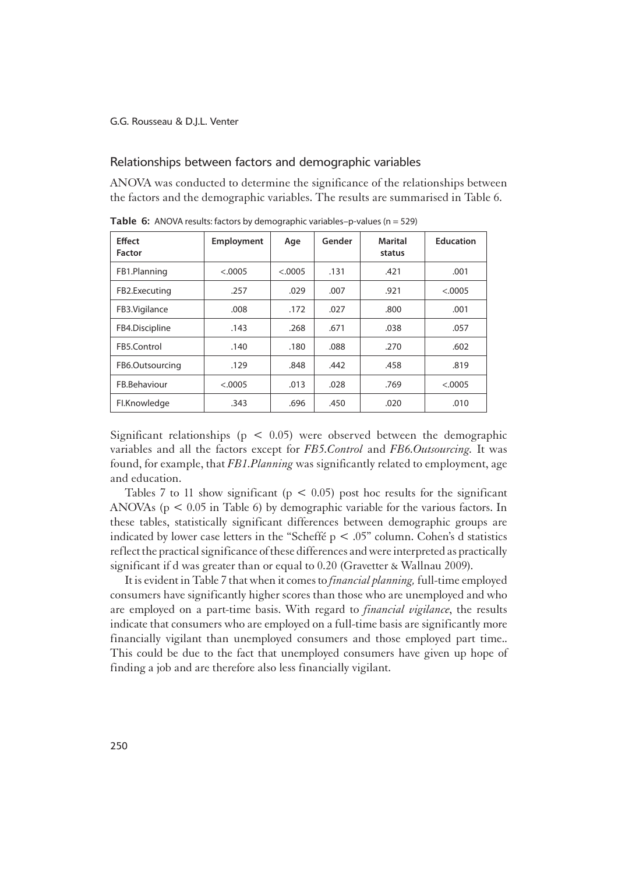#### Relationships between factors and demographic variables

1ANOVA was conducted to determine the significance of the relationships between the factors and the demographic variables. The results are summarised in Table 6.

| <b>Effect</b><br><b>Factor</b> | Employment | Age     | Gender | Marital<br>status | <b>Education</b> |
|--------------------------------|------------|---------|--------|-------------------|------------------|
| FB1.Planning                   | < .0005    | &0.0005 | .131   | .421              | .001             |
| FB2.Executing                  | .257       | .029    | .007   | .921              | < .0005          |
| FB3.Vigilance                  | .008       | .172    | .027   | .800              | .001             |
| FB4.Discipline                 | .143       | .268    | .671   | .038              | .057             |
| FB5.Control                    | .140       | .180    | .088   | .270              | .602             |
| FB6.Outsourcing                | .129       | .848    | .442   | .458              | .819             |
| FB.Behaviour                   | < .0005    | .013    | .028   | .769              | < .0005          |
| Fl.Knowledge                   | .343       | .696    | .450   | .020              | .010             |

**Table 6:** ANOVA results: factors by demographic variables-p-values ( $n = 529$ )

Significant relationships ( $p < 0.05$ ) were observed between the demographic variables and all the factors except for *FB5.Control* and *FB6.Outsourcing.* It was found, for example, that *FB1.Planning* was significantly related to employment, age and education.

Tables 7 to 11 show significant ( $p < 0.05$ ) post hoc results for the significant ANOVAs ( $p < 0.05$  in Table 6) by demographic variable for the various factors. In these tables, statistically significant differences between demographic groups are indicated by lower case letters in the "Scheffé  $p < .05$ " column. Cohen's d statistics reflect the practical significance of these differences and were interpreted as practically significant if d was greater than or equal to 0.20 (Gravetter & Wallnau 2009).

It is evident in Table 7 that when it comes to *financial planning,* full-time employed consumers have significantly higher scores than those who are unemployed and who are employed on a part-time basis. With regard to *financial vigilance*, the results indicate that consumers who are employed on a full-time basis are significantly more financially vigilant than unemployed consumers and those employed part time.. This could be due to the fact that unemployed consumers have given up hope of finding a job and are therefore also less financially vigilant.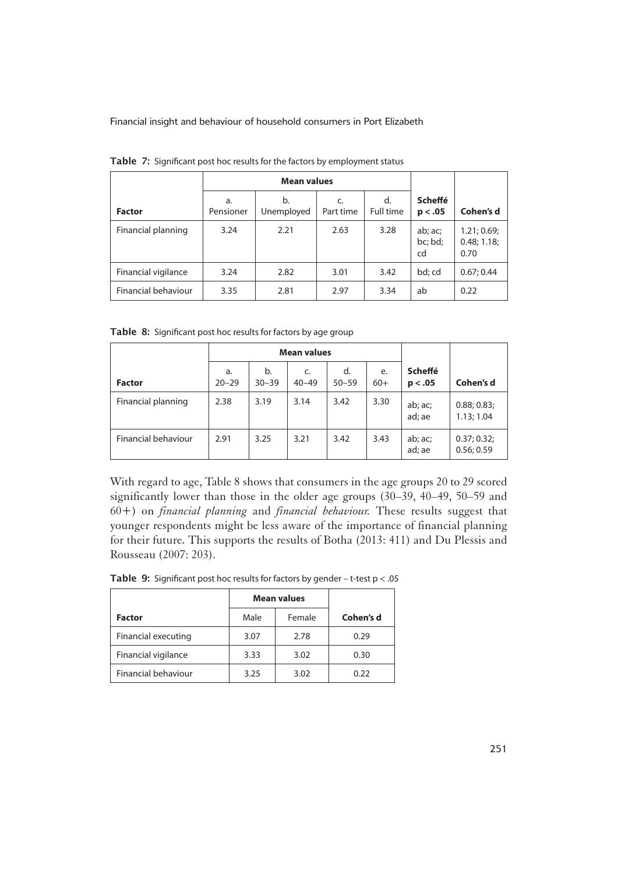|                     |                 | <b>Mean values</b> |                 |                 |                           |                                    |
|---------------------|-----------------|--------------------|-----------------|-----------------|---------------------------|------------------------------------|
| <b>Factor</b>       | a.<br>Pensioner | b.<br>Unemployed   | C.<br>Part time | d.<br>Full time | <b>Scheffé</b><br>p < .05 | Cohen's d                          |
| Financial planning  | 3.24            | 2.21               | 2.63            | 3.28            | ab; ac;<br>bc; bd;<br>cd  | 1.21; 0.69;<br>0.48; 1.18;<br>0.70 |
| Financial vigilance | 3.24            | 2.82               | 3.01            | 3.42            | bd; cd                    | 0.67; 0.44                         |
| Financial behaviour | 3.35            | 2.81               | 2.97            | 3.34            | ab                        | 0.22                               |

Table 7: Significant post hoc results for the factors by employment status

Table 8: Significant post hoc results for factors by age group

|                     |                 | <b>Mean values</b> |                 |                 |             |                           |                           |
|---------------------|-----------------|--------------------|-----------------|-----------------|-------------|---------------------------|---------------------------|
| <b>Factor</b>       | a.<br>$20 - 29$ | b.<br>$30 - 39$    | C.<br>$40 - 49$ | d.<br>$50 - 59$ | e.<br>$60+$ | <b>Scheffé</b><br>p < .05 | Cohen's d                 |
| Financial planning  | 2.38            | 3.19               | 3.14            | 3.42            | 3.30        | ab; ac;<br>ad; ae         | 0.88; 0.83;<br>1.13; 1.04 |
| Financial behaviour | 2.91            | 3.25               | 3.21            | 3.42            | 3.43        | ab; ac;<br>ad; ae         | 0.37; 0.32;<br>0.56; 0.59 |

With regard to age, Table 8 shows that consumers in the age groups 20 to 29 scored significantly lower than those in the older age groups (30–39, 40–49, 50–59 and 60+) on *financial planning* and *financial behaviour.* These results suggest that younger respondents might be less aware of the importance of financial planning for their future. This supports the results of Botha (2013: 411) and Du Plessis and Rousseau (2007: 203).

|  |  |  |  | <b>Table 9:</b> Significant post hoc results for factors by gender - t-test $p < .05$ |
|--|--|--|--|---------------------------------------------------------------------------------------|
|--|--|--|--|---------------------------------------------------------------------------------------|

|                     | <b>Mean values</b> |        |           |
|---------------------|--------------------|--------|-----------|
| <b>Factor</b>       | Male               | Female | Cohen's d |
| Financial executing | 3.07               | 2.78   | 0.29      |
| Financial vigilance | 3.33               | 3.02   | 0.30      |
| Financial behaviour | 3.25               | 3.02   | 0.22      |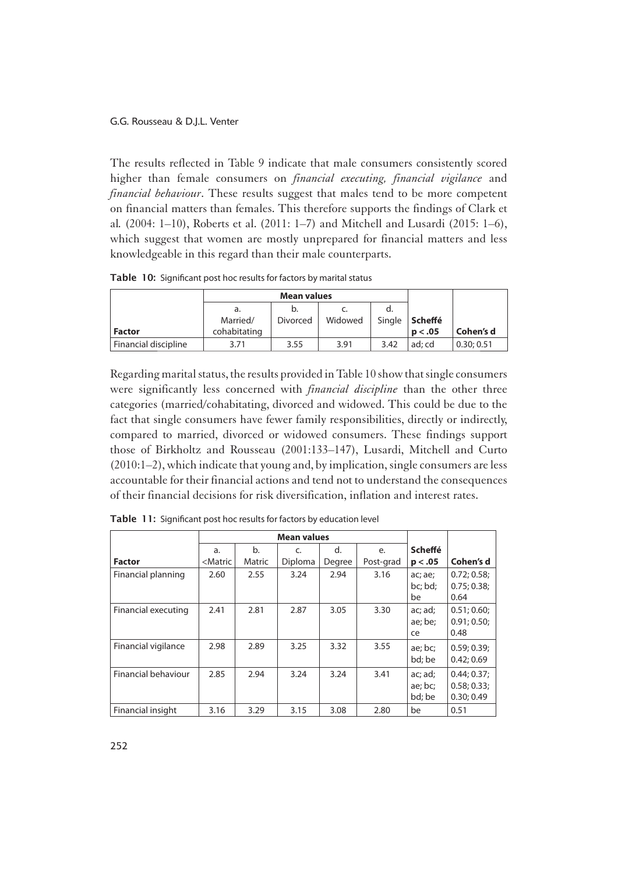1The results reflected in Table 9 indicate that male consumers consistently scored higher than female consumers on *financial executing, financial vigilance* and *financial behaviour*. These results suggest that males tend to be more competent on financial matters than females. This therefore supports the findings of Clark et al*.* (2004: 1–10), Roberts et al. (2011: 1–7) and Mitchell and Lusardi (2015: 1–6), which suggest that women are mostly unprepared for financial matters and less knowledgeable in this regard than their male counterparts.

Table 10: Significant post hoc results for factors by marital status

|                      | a.           |          |         |        |         |            |
|----------------------|--------------|----------|---------|--------|---------|------------|
|                      | Married/     | Divorced | Widowed | Single | Scheffé |            |
| <b>Factor</b>        | cohabitating |          |         |        | p < .05 | Cohen's d  |
| Financial discipline | 3.71         | 3.55     | 3.91    | 3.42   | ad: cd  | 0.30; 0.51 |

Regarding marital status, the results provided in Table 10 show that single consumers were significantly less concerned with *financial discipline* than the other three categories (married/cohabitating, divorced and widowed. This could be due to the fact that single consumers have fewer family responsibilities, directly or indirectly, compared to married, divorced or widowed consumers. These findings support those of Birkholtz and Rousseau (2001:133–147), Lusardi, Mitchell and Curto (2010:1–2), which indicate that young and, by implication, single consumers are less accountable for their financial actions and tend not to understand the consequences of their financial decisions for risk diversification, inflation and interest rates.

|                     | <b>Mean values</b>                                                                                                                                                           |              |               |              |                 |                              |                                          |
|---------------------|------------------------------------------------------------------------------------------------------------------------------------------------------------------------------|--------------|---------------|--------------|-----------------|------------------------------|------------------------------------------|
| <b>Factor</b>       | a.<br><matric< th=""><th>b.<br/>Matric</th><th>C.<br/>Diploma</th><th>d.<br/>Degree</th><th>e.<br/>Post-grad</th><th>Scheffé<br/>p &lt; .05</th><th>Cohen's d</th></matric<> | b.<br>Matric | C.<br>Diploma | d.<br>Degree | e.<br>Post-grad | Scheffé<br>p < .05           | Cohen's d                                |
| Financial planning  | 2.60                                                                                                                                                                         | 2.55         | 3.24          | 2.94         | 3.16            | ac; ae;<br>bc; bd;<br>be     | 0.72; 0.58;<br>0.75; 0.38;<br>0.64       |
| Financial executing | 2.41                                                                                                                                                                         | 2.81         | 2.87          | 3.05         | 3.30            | ac; ad;<br>ae; be;<br>ce     | 0.51; 0.60;<br>0.91; 0.50;<br>0.48       |
| Financial vigilance | 2.98                                                                                                                                                                         | 2.89         | 3.25          | 3.32         | 3.55            | ae; bc;<br>bd: be            | 0.59; 0.39;<br>0.42:0.69                 |
| Financial behaviour | 2.85                                                                                                                                                                         | 2.94         | 3.24          | 3.24         | 3.41            | ac; ad;<br>ae; bc;<br>bd; be | 0.44; 0.37;<br>0.58; 0.33;<br>0.30; 0.49 |
| Financial insight   | 3.16                                                                                                                                                                         | 3.29         | 3.15          | 3.08         | 2.80            | be                           | 0.51                                     |

Table 11: Significant post hoc results for factors by education level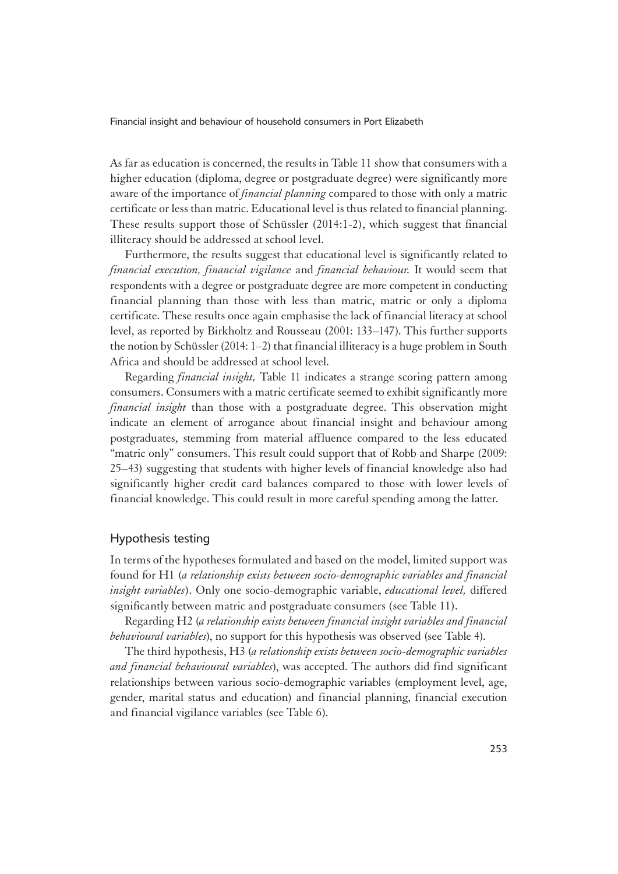1As far as education is concerned, the results in Table 11 show that consumers with a higher education (diploma, degree or postgraduate degree) were significantly more aware of the importance of *financial planning* compared to those with only a matric certificate or less than matric. Educational level is thus related to financial planning. These results support those of Schüssler (2014:1-2), which suggest that financial illiteracy should be addressed at school level.

Furthermore, the results suggest that educational level is significantly related to *financial execution, financial vigilance* and *financial behaviour.* It would seem that respondents with a degree or postgraduate degree are more competent in conducting financial planning than those with less than matric, matric or only a diploma certificate. These results once again emphasise the lack of financial literacy at school level, as reported by Birkholtz and Rousseau (2001: 133–147). This further supports the notion by Schüssler (2014: 1–2) that financial illiteracy is a huge problem in South Africa and should be addressed at school level.

Regarding *financial insight,* Table 11 indicates a strange scoring pattern among consumers. Consumers with a matric certificate seemed to exhibit significantly more *financial insight* than those with a postgraduate degree. This observation might indicate an element of arrogance about financial insight and behaviour among postgraduates, stemming from material affluence compared to the less educated "matric only" consumers. This result could support that of Robb and Sharpe (2009: 25–43) suggesting that students with higher levels of financial knowledge also had significantly higher credit card balances compared to those with lower levels of financial knowledge. This could result in more careful spending among the latter.

### Hypothesis testing

In terms of the hypotheses formulated and based on the model, limited support was found for H1 (*a relationship exists between socio-demographic variables and financial insight variables*). Only one socio-demographic variable, *educational level,* differed significantly between matric and postgraduate consumers (see Table 11).

Regarding H2 (*a relationship exists between financial insight variables and financial behavioural variables*), no support for this hypothesis was observed (see Table 4).

The third hypothesis, H3 (*a relationship exists between socio-demographic variables and financial behavioural variables*), was accepted. The authors did find significant relationships between various socio-demographic variables (employment level, age, gender, marital status and education) and financial planning, financial execution and financial vigilance variables (see Table 6).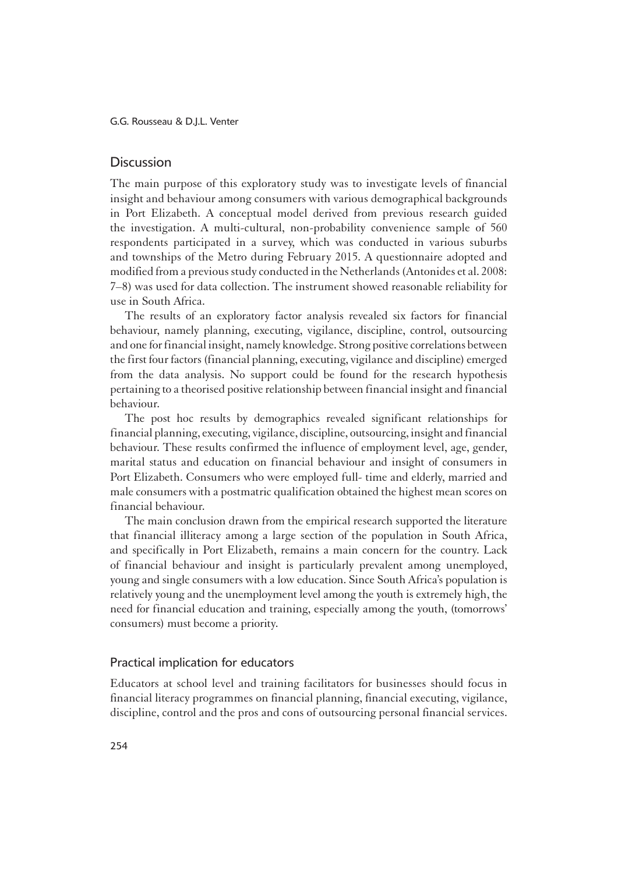### **Discussion**

1The main purpose of this exploratory study was to investigate levels of financial insight and behaviour among consumers with various demographical backgrounds in Port Elizabeth. A conceptual model derived from previous research guided the investigation. A multi-cultural, non-probability convenience sample of 560 respondents participated in a survey, which was conducted in various suburbs and townships of the Metro during February 2015. A questionnaire adopted and modified from a previous study conducted in the Netherlands (Antonides et al. 2008: 7–8) was used for data collection. The instrument showed reasonable reliability for use in South Africa.

The results of an exploratory factor analysis revealed six factors for financial behaviour, namely planning, executing, vigilance, discipline, control, outsourcing and one for financial insight, namely knowledge. Strong positive correlations between the first four factors (financial planning, executing, vigilance and discipline) emerged from the data analysis. No support could be found for the research hypothesis pertaining to a theorised positive relationship between financial insight and financial behaviour.

The post hoc results by demographics revealed significant relationships for financial planning, executing, vigilance, discipline, outsourcing, insight and financial behaviour. These results confirmed the influence of employment level, age, gender, marital status and education on financial behaviour and insight of consumers in Port Elizabeth. Consumers who were employed full- time and elderly, married and male consumers with a postmatric qualification obtained the highest mean scores on financial behaviour.

The main conclusion drawn from the empirical research supported the literature that financial illiteracy among a large section of the population in South Africa, and specifically in Port Elizabeth, remains a main concern for the country. Lack of financial behaviour and insight is particularly prevalent among unemployed, young and single consumers with a low education. Since South Africa's population is relatively young and the unemployment level among the youth is extremely high, the need for financial education and training, especially among the youth, (tomorrows' consumers) must become a priority.

### Practical implication for educators

1Educators at school level and training facilitators for businesses should focus in financial literacy programmes on financial planning, financial executing, vigilance, discipline, control and the pros and cons of outsourcing personal financial services.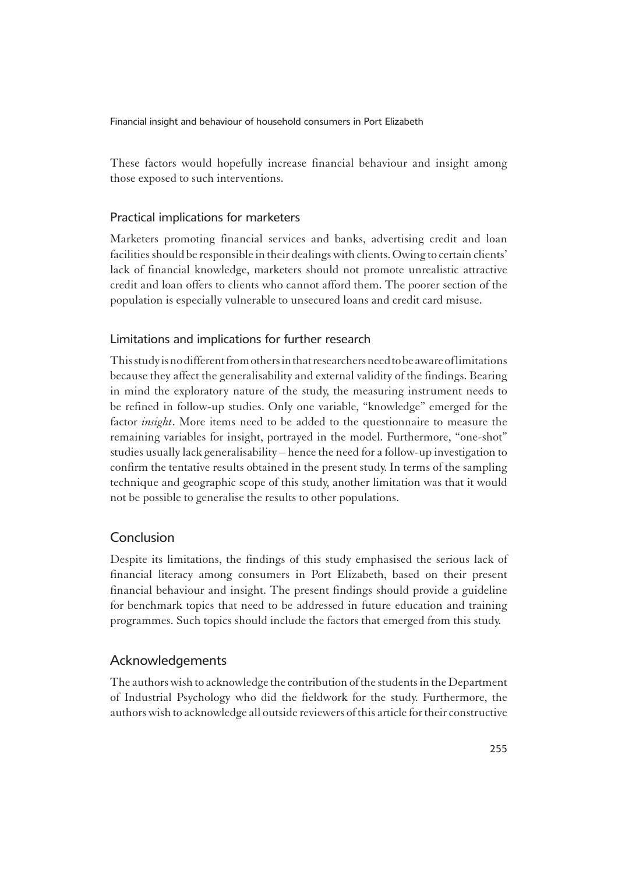These factors would hopefully increase financial behaviour and insight among those exposed to such interventions.

# Practical implications for marketers

1Marketers promoting financial services and banks, advertising credit and loan facilities should be responsible in their dealings with clients. Owing to certain clients' lack of financial knowledge, marketers should not promote unrealistic attractive credit and loan offers to clients who cannot afford them. The poorer section of the population is especially vulnerable to unsecured loans and credit card misuse.

# Limitations and implications for further research

1This study is no different from others in that researchers need to be aware of limitations because they affect the generalisability and external validity of the findings. Bearing in mind the exploratory nature of the study, the measuring instrument needs to be refined in follow-up studies. Only one variable, "knowledge" emerged for the factor *insight*. More items need to be added to the questionnaire to measure the remaining variables for insight, portrayed in the model. Furthermore, "one-shot" studies usually lack generalisability – hence the need for a follow-up investigation to confirm the tentative results obtained in the present study. In terms of the sampling technique and geographic scope of this study, another limitation was that it would not be possible to generalise the results to other populations.

# Conclusion

1Despite its limitations, the findings of this study emphasised the serious lack of financial literacy among consumers in Port Elizabeth, based on their present financial behaviour and insight. The present findings should provide a guideline for benchmark topics that need to be addressed in future education and training programmes. Such topics should include the factors that emerged from this study.

# Acknowledgements

1The authors wish to acknowledge the contribution of the students in the Department of Industrial Psychology who did the fieldwork for the study. Furthermore, the authors wish to acknowledge all outside reviewers of this article for their constructive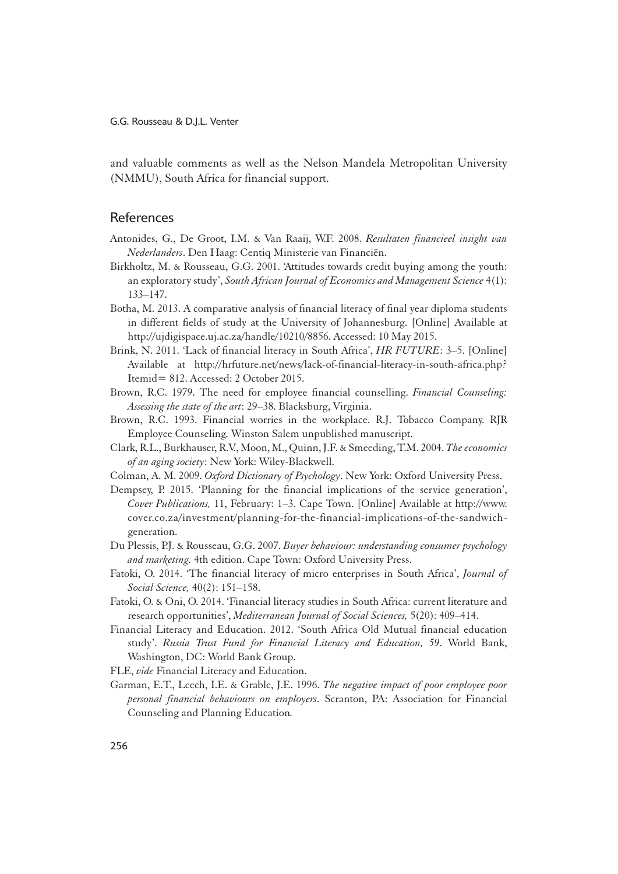and valuable comments as well as the Nelson Mandela Metropolitan University (NMMU), South Africa for financial support.

### References

- Antonides, G., De Groot, I.M. & Van Raaij, W.F. 2008. *Resultaten financieel insight van Nederlanders*. Den Haag: Centiq Ministerie van Financiën.
- Birkholtz, M. & Rousseau, G.G. 2001. 'Attitudes towards credit buying among the youth: an exploratory study', *South African Journal of Economics and Management Science* 4(1): 133–147.
- Botha, M. 2013. A comparative analysis of financial literacy of final year diploma students in different fields of study at the University of Johannesburg. [Online] Available at http://ujdigispace.uj.ac.za/handle/10210/8856. Accessed: 10 May 2015.
- Brink, N. 2011. 'Lack of financial literacy in South Africa', *HR FUTURE*: 3–5. [Online] Available at http://hrfuture.net/news/lack-of-financial-literacy-in-south-africa.php? Itemid= 812. Accessed: 2 October 2015.
- Brown, R.C. 1979. The need for employee financial counselling. *Financial Counseling: Assessing the state of the art*: 29–38. Blacksburg, Virginia.
- Brown, R.C. 1993. Financial worries in the workplace. R.J. Tobacco Company. RJR Employee Counseling*.* Winston Salem unpublished manuscript.
- Clark, R.L., Burkhauser, R.V., Moon, M., Quinn, J.F. & Smeeding, T.M. 2004. *The economics of an aging society*: New York: Wiley-Blackwell.
- Colman, A. M. 2009. *Oxford Dictionary of Psychology*. New York: Oxford University Press.
- Dempsey, P. 2015. 'Planning for the financial implications of the service generation', *Cover Publications,* 11, February: 1–3. Cape Town. [Online] Available at http://www. cover.co.za/investment/planning-for-the-financial-implications-of-the-sandwichgeneration.
- Du Plessis, P.J. & Rousseau, G.G. 2007. *Buyer behaviour: understanding consumer psychology and marketing.* 4th edition. Cape Town: Oxford University Press.
- Fatoki, O. 2014. 'The financial literacy of micro enterprises in South Africa', *Journal of Social Science,* 40(2): 151–158.
- Fatoki, O. & Oni, O. 2014. 'Financial literacy studies in South Africa: current literature and research opportunities', *Mediterranean Journal of Social Sciences,* 5(20): 409–414.
- Financial Literacy and Education. 2012. 'South Africa Old Mutual financial education study'. *Russia Trust Fund for Financial Literacy and Education, 59*. World Bank, Washington, DC: World Bank Group.
- FLE, *vide* Financial Literacy and Education.
- Garman, E.T., Leech, I.E. & Grable, J.E. 1996. *The negative impact of poor employee poor personal financial behaviours on employers*. Scranton, PA: Association for Financial Counseling and Planning Education*.*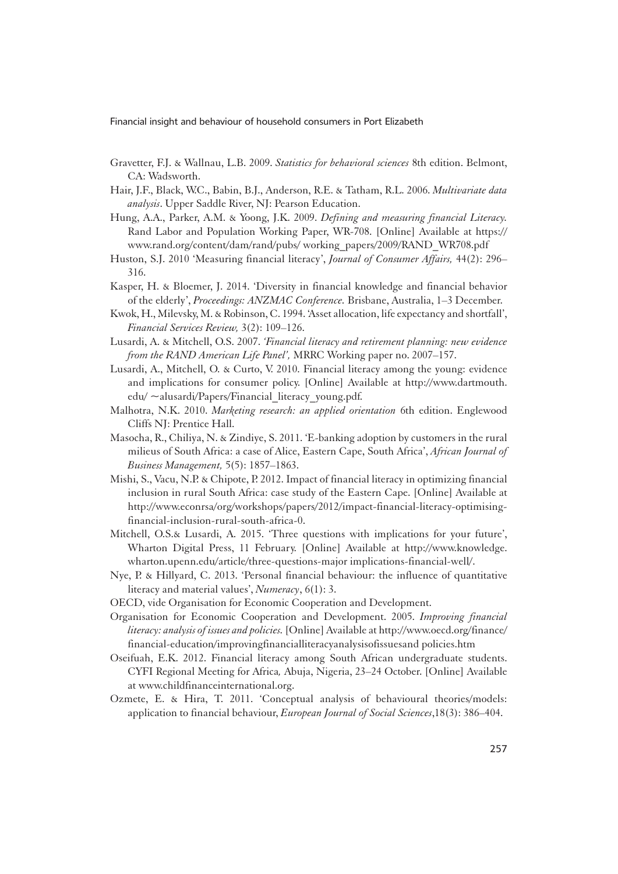- Gravetter, F.J. & Wallnau, L.B. 2009. *Statistics for behavioral sciences* 8th edition. Belmont, CA: Wadsworth.
- Hair, J.F., Black, W.C., Babin, B.J., Anderson, R.E. & Tatham, R.L. 2006. *Multivariate data analysis*. Upper Saddle River, NJ: Pearson Education.
- Hung, A.A., Parker, A.M. & Yoong, J.K. 2009. *Defining and measuring financial Literacy.*  Rand Labor and Population Working Paper, WR-708. [Online] Available at https:// www.rand.org/content/dam/rand/pubs/ working\_papers/2009/RAND\_WR708.pdf
- Huston, S.J. 2010 'Measuring financial literacy', *Journal of Consumer Affairs,* 44(2): 296– 316.
- Kasper, H. & Bloemer, J. 2014. 'Diversity in financial knowledge and financial behavior of the elderly', *Proceedings: ANZMAC Conference.* Brisbane, Australia, 1–3 December.
- Kwok, H., Milevsky, M. & Robinson, C. 1994. 'Asset allocation, life expectancy and shortfall', *Financial Services Review,* 3(2): 109–126.
- Lusardi, A. & Mitchell, O.S. 2007. *'Financial literacy and retirement planning: new evidence from the RAND American Life Panel',* MRRC Working paper no. 2007–157.
- Lusardi, A., Mitchell, O. & Curto, V. 2010. Financial literacy among the young: evidence and implications for consumer policy. [Online] Available at http://www.dartmouth. edu/ ~alusardi/Papers/Financial\_literacy\_young.pdf.
- Malhotra, N.K. 2010. *Marketing research: an applied orientation* 6th edition. Englewood Cliffs NJ: Prentice Hall.
- Masocha, R., Chiliya, N. & Zindiye, S. 2011. 'E-banking adoption by customers in the rural milieus of South Africa: a case of Alice, Eastern Cape, South Africa', *African Journal of Business Management,* 5(5): 1857–1863.
- Mishi, S., Vacu, N.P. & Chipote, P. 2012. Impact of financial literacy in optimizing financial inclusion in rural South Africa: case study of the Eastern Cape. [Online] Available at http://www.econrsa/org/workshops/papers/2012/impact-financial-literacy-optimisingfinancial-inclusion-rural-south-africa-0.
- Mitchell, O.S.& Lusardi, A. 2015. 'Three questions with implications for your future', Wharton Digital Press, 11 February. [Online] Available at http://www.knowledge. wharton.upenn.edu/article/three-questions-major implications-financial-well/.
- Nye, P. & Hillyard, C. 2013. 'Personal financial behaviour: the influence of quantitative literacy and material values', *Numeracy*, 6(1): 3.
- OECD, vide Organisation for Economic Cooperation and Development.
- Organisation for Economic Cooperation and Development. 2005. *Improving financial literacy: analysis of issues and policies.* [Online] Available at http://www.oecd.org/finance/ financial-education/improvingfinancialliteracyanalysisofissuesand policies.htm
- Oseifuah, E.K. 2012. Financial literacy among South African undergraduate students. CYFI Regional Meeting for Africa*,* Abuja, Nigeria, 23–24 October. [Online] Available at www.childfinanceinternational.org.
- Ozmete, E. & Hira, T. 2011. 'Conceptual analysis of behavioural theories/models: application to financial behaviour, *European Journal of Social Sciences*,18(3): 386–404.